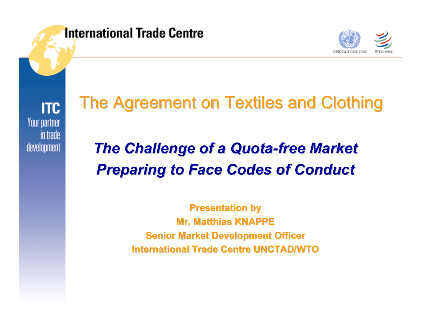

**ITC** Your partner in trade development

# The Agreement on Textiles and Clothing

## *The Challenge of a Quota The Challenge of a Quota -free Market free Market Preparing to Face Codes of Conduct Preparing to Face Codes of Conduct*

**Presentation by Mr. Matthias KNAPPE Mr. Matthias KNAPPESenior Market Development Officer International Trade Centre UNCTAD/WTO International Trade Centre UNCTAD/WTO**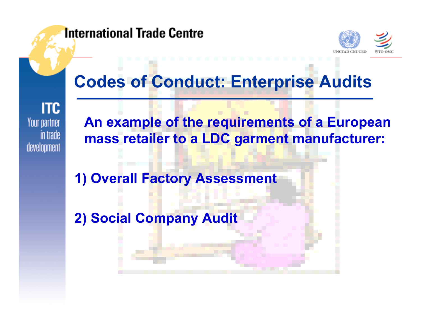#### **International Trade Centre**



### **Codes of Conduct: Enterprise Audits**

**ITC** Your partner in trade development

**An example of the requirements of a European mass retailer to a LDC garment manufacturer:**

**1) Overall Factory Assessment** 

**2) Social Company Audit**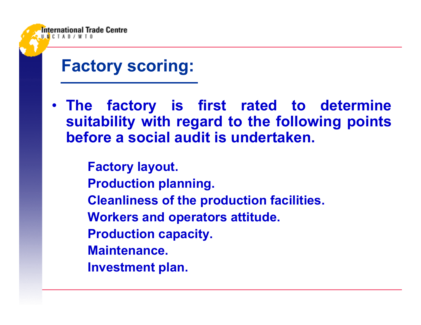

**Factory scoring:**

• **The factory is first rated to determine suitability with regard to the following points before a social audit is undertaken.**

> **Factory layout. Production planning. Cleanliness of the production facilities. Workers and operators attitude. Production capacity. Maintenance.Investment plan.**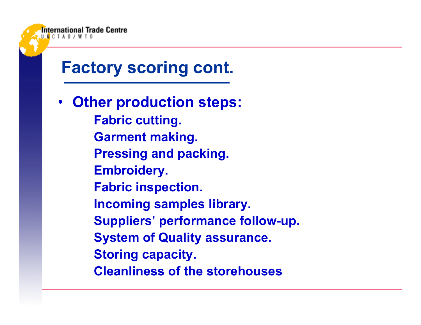

**Storing capacity.**

**Cleanliness of the storehouses**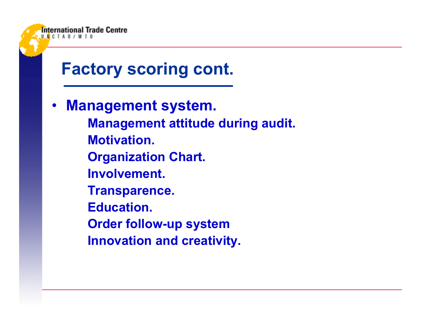

International Trade Centre

• **Management system. Management attitude during audit. Motivation.Organization Chart. Involvement.Transparence. Education.Order follow-up system Innovation and creativity.**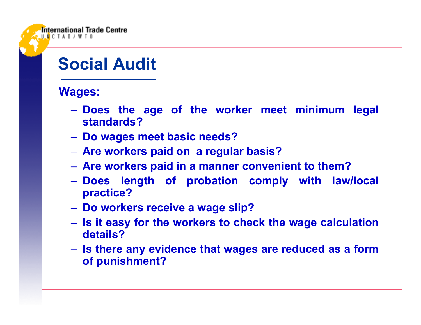#### **Social Audit**

#### **Wages:**

- **Does the age of the worker meet minimum legal standards?**
- **Do wages meet basic needs?**
- **Are workers paid on a regular basis?**
- **Are workers paid in a manner convenient to them?**
- **Does length of probation comply with law/local practice?**
- **Do workers receive a wage slip?**
- **Is it easy for the workers to check the wage calculation details?**
- **Is there any evidence that wages are reduced as a form of punishment?**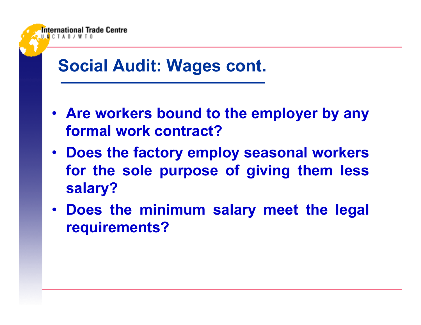

- **Are workers bound to the employer by any formal work contract?**
- **Does the factory employ seasonal workers for the sole purpose of giving them less salary?**
- **Does the minimum salary meet the legal requirements?**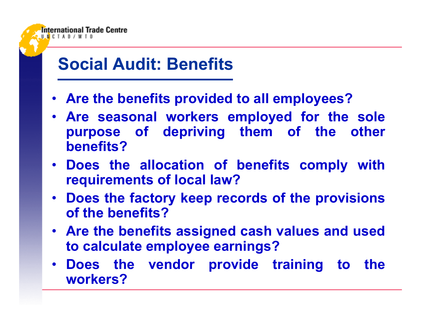#### **Social Audit: Benefits**

- **Are the benefits provided to all employees?**
- **Are seasonal workers employed for the sole purpose of depriving them of the other benefits?**
- **Does the allocation of benefits comply with requirements of local law?**
- **Does the factory keep records of the provisions of the benefits?**
- **Are the benefits assigned cash values and used to calculate employee earnings?**
- **Does the vendor provide training to the workers?**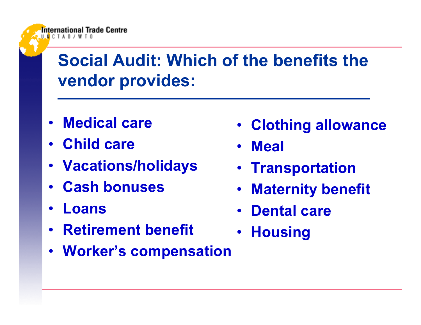## **Social Audit: Which of the benefits the vendor provides:**

- •**Medical care**
- **Child care**
- •**Vacations/holidays**
- •**Cash bonuses**
- •**Loans**
- •**Retirement benefit**
- •**Worker's compensation**
- **Clothing allowance**
- $\bullet$ **Meal**
- **Transportation**
- •**Maternity benefit**
- **Dental care**
- •**Housing**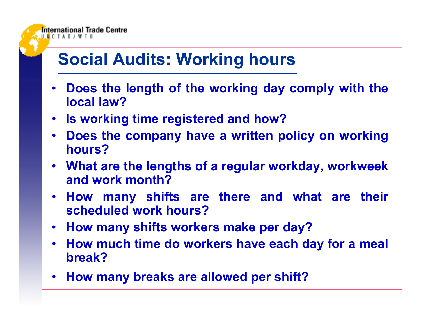### **Social Audits: Working hours**

- • **Does the length of the working day comply with the local law?**
- **Is working time registered and how?**
- **Does the company have a written policy on working hours?**
- **What are the lengths of a regular workday, workweek and work month?**
- **How many shifts are there and what are their scheduled work hours?**
- **How many shifts workers make per day?**
- **How much time do workers have each day for a meal break?**
- **How many breaks are allowed per shift?**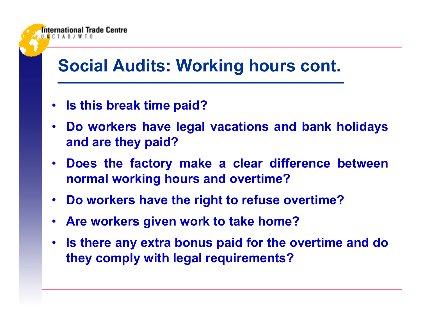#### **Social Audits: Working hours cont.**

• **Is this break time paid?**

- **Do workers have legal vacations and bank holidays and are they paid?**
- **Does the factory make a clear difference between normal working hours and overtime?**
- **Do workers have the right to refuse overtime?**
- $\bullet$ **Are workers given work to take home?**
- $\bullet$  **Is there any extra bonus paid for the overtime and do they comply with legal requirements?**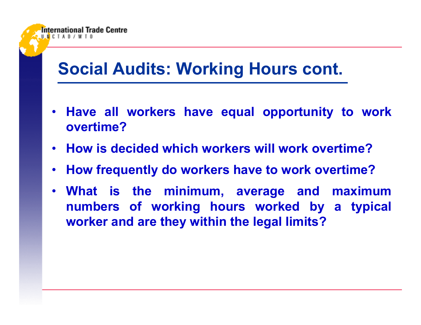#### **Social Audits: Working Hours cont.**

- **Have all workers have equal opportunity to work overtime?**
- **How is decided which workers will work overtime?**
- **How frequently do workers have to work overtime?**
- **What is the minimum, average and maximum numbers of working hours worked by a typical worker and are they within the legal limits?**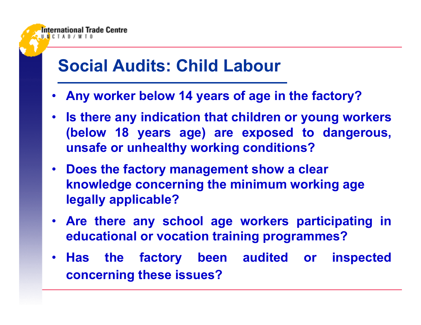#### **Social Audits: Child Labour**

- •**Any worker below 14 years of age in the factory?**
- **Is there any indication that children or young workers (below 18 years age) are exposed to dangerous, unsafe or unhealthy working conditions?**
- **Does the factory management show a clear knowledge concerning the minimum working age legally applicable?**
- **Are there any school age workers participating in educational or vocation training programmes?**
- **Has the factory been audited or inspected concerning these issues?**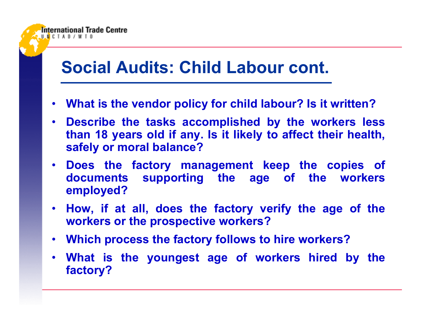#### **Social Audits: Child Labour cont.**

- $\bullet$ **What is the vendor policy for child labour? Is it written?**
- **Describe the tasks accomplished by the workers less than 18 years old if any. Is it likely to affect their health, safely or moral balance?**
- **Does the factory management keep the copies of documents supporting the age of the workers employed?**
- **How, if at all, does the factory verify the age of the workers or the prospective workers?**
- **Which process the factory follows to hire workers?**
- **What is the youngest age of workers hired by the factory?**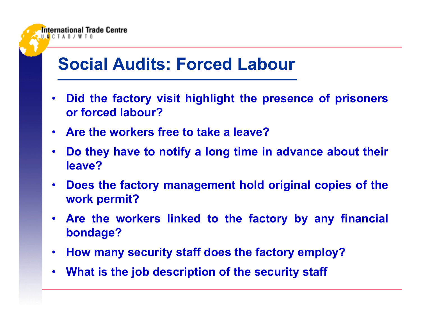#### **Social Audits: Forced Labour**

- $\bullet$  **Did the factory visit highlight the presence of prisoners or forced labour?**
- **Are the workers free to take a leave?**

- $\bullet$  **Do they have to notify a long time in advance about their leave?**
- **Does the factory management hold original copies of the work permit?**
- **Are the workers linked to the factory by any financial bondage?**
- $\bullet$ **How many security staff does the factory employ?**
- $\bullet$ **What is the job description of the security staff**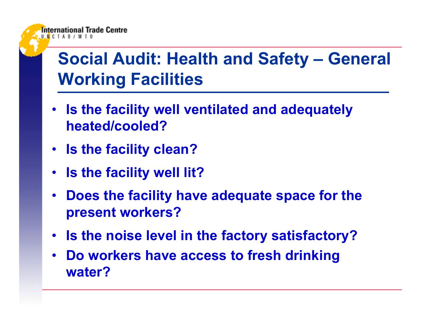## **Social Audit: Health and Safety – General Working Facilities**

- **Is the facility well ventilated and adequately heated/cooled?**
- **Is the facility clean?**

- **Is the facility well lit?**
- **Does the facility have adequate space for the present workers?**
- **Is the noise level in the factory satisfactory?**
- $\bullet$  **Do workers have access to fresh drinking water?**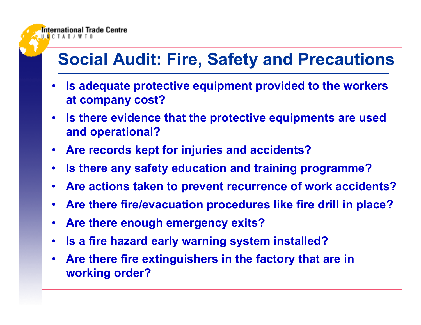#### **Social Audit: Fire, Safety and Precautions**

- • **Is adequate protective equipment provided to the workers at company cost?**
- $\bullet$  **Is there evidence that the protective equipments are used and operational?**
- $\bullet$ **Are records kept for injuries and accidents?**
- $\bullet$ **Is there any safety education and training programme?**
- $\bullet$ **Are actions taken to prevent recurrence of work accidents?**
- $\bullet$ **Are there fire/evacuation procedures like fire drill in place?**
- $\bullet$ **Are there enough emergency exits?**

- $\bullet$ **Is a fire hazard early warning system installed?**
- $\bullet$  **Are there fire extinguishers in the factory that are in working order?**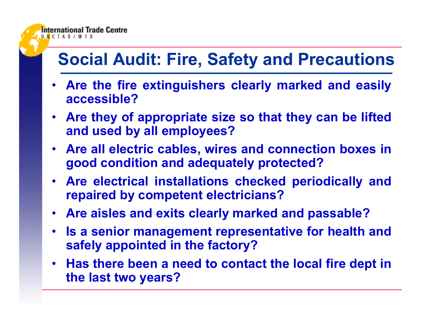#### **Social Audit: Fire, Safety and Precautions**

- **Are the fire extinguishers clearly marked and easily accessible?**
- **Are they of appropriate size so that they can be lifted and used by all employees?**
- **Are all electric cables, wires and connection boxes in good condition and adequately protected?**
- **Are electrical installations checked periodically and repaired by competent electricians?**
- **Are aisles and exits clearly marked and passable?**
- **Is a senior management representative for health and safely appointed in the factory?**
- **Has there been a need to contact the local fire dept in the last two years?**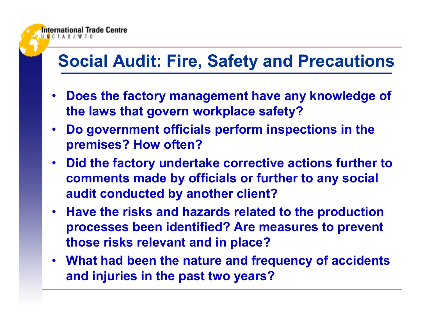## **Social Audit: Fire, Safety and Precautions**

- **Does the factory management have any knowledge of the laws that govern workplace safety?**
- **Do government officials perform inspections in the premises? How often?**
- **Did the factory undertake corrective actions further to comments made by officials or further to any social audit conducted by another client?**
- **Have the risks and hazards related to the production processes been identified? Are measures to prevent those risks relevant and in place?**
- **What had been the nature and frequency of accidents and injuries in the past two years?**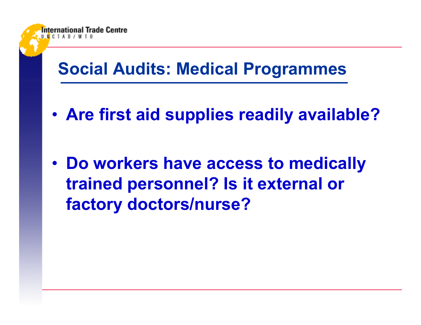#### **Social Audits: Medical Programmes**

International Trade Centre

•**Are first aid supplies readily available?**

• **Do workers have access to medically trained personnel? Is it external or factory doctors/nurse?**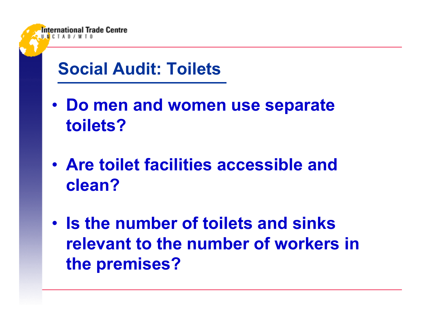

**Trade Centre** 

- **Do men and women use separate toilets?**
- **Are toilet facilities accessible and clean?**
- **Is the number of toilets and sinks relevant to the number of workers in the premises?**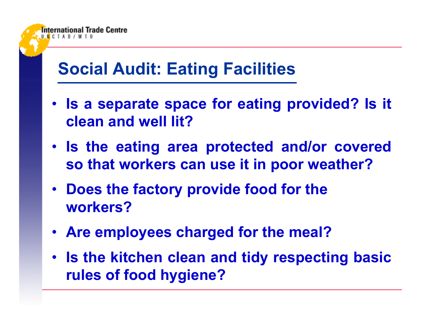## **Social Audit: Eating Facilities**

- **Is a separate space for eating provided? Is it clean and well lit?**
- **Is the eating area protected and/or covered so that workers can use it in poor weather?**
- **Does the factory provide food for the workers?**
- **Are employees charged for the meal?**
- **Is the kitchen clean and tidy respecting basic rules of food hygiene?**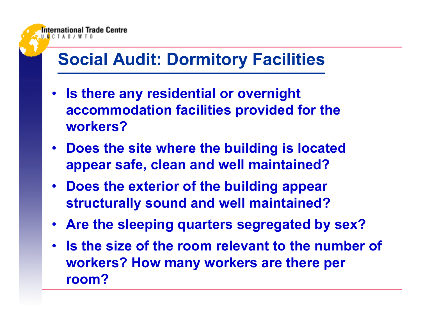#### **Social Audit: Dormitory Facilities**

- **Is there any residential or overnight accommodation facilities provided for the workers?**
- **Does the site where the building is located appear safe, clean and well maintained?**
- **Does the exterior of the building appear structurally sound and well maintained?**
- **Are the sleeping quarters segregated by sex?**
- **Is the size of the room relevant to the number of workers? How many workers are there per room?**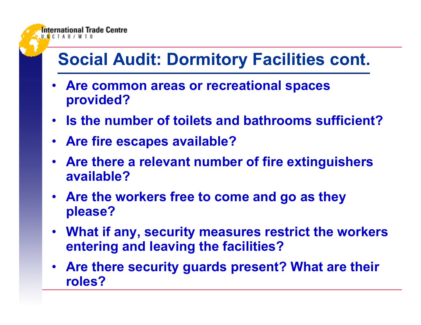

- • **Are common areas or recreational spaces provided?**
- **Is the number of toilets and bathrooms sufficient?**
- **Are fire escapes available?**

- **Are there a relevant number of fire extinguishers available?**
- **Are the workers free to come and go as they please?**
- **What if any, security measures restrict the workers entering and leaving the facilities?**
- **Are there security guards present? What are their roles?**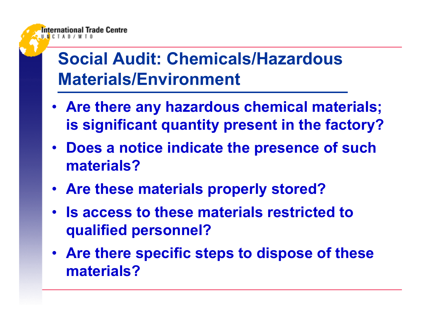## **Social Audit: Chemicals/Hazardous Materials/Environment**

- **Are there any hazardous chemical materials; is significant quantity present in the factory?**
- **Does a notice indicate the presence of such materials?**
- **Are these materials properly stored?**
- **Is access to these materials restricted to qualified personnel?**
- **Are there specific steps to dispose of these materials?**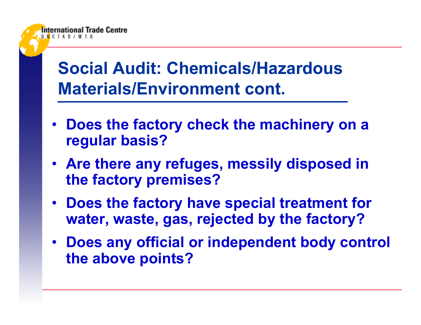## **Social Audit: Chemicals/Hazardous Materials/Environment cont.**

- **Does the factory check the machinery on a regular basis?**
- **Are there any refuges, messily disposed in the factory premises?**
- **Does the factory have special treatment for water, waste, gas, rejected by the factory?**
- **Does any official or independent body control the above points?**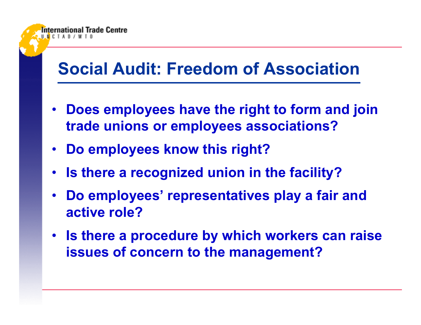#### **Social Audit: Freedom of Association**

- **Does employees have the right to form and join trade unions or employees associations?**
- **Do employees know this right?**

- **Is there a recognized union in the facility?**
- **Do employees' representatives play a fair and active role?**
- **Is there a procedure by which workers can raise issues of concern to the management?**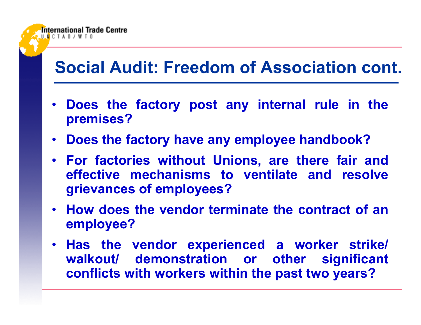#### **Social Audit: Freedom of Association cont.**

- **Does the factory post any internal rule in the premises?**
- **Does the factory have any employee handbook?**

- **For factories without Unions, are there fair and effective mechanisms to ventilate and resolve grievances of employees?**
- **How does the vendor terminate the contract of an employee?**
- **Has the vendor experienced a worker strike/ walkout/ demonstration or other significant conflicts with workers within the past two years?**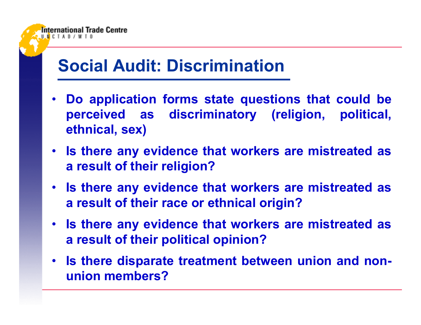#### **Social Audit: Discrimination**

- • **Do application forms state questions that could be perceived as discriminatory (religion, political, ethnical, sex)**
- **Is there any evidence that workers are mistreated as a result of their religion?**
- **Is there any evidence that workers are mistreated as a result of their race or ethnical origin?**
- **Is there any evidence that workers are mistreated as a result of their political opinion?**
- **Is there disparate treatment between union and nonunion members?**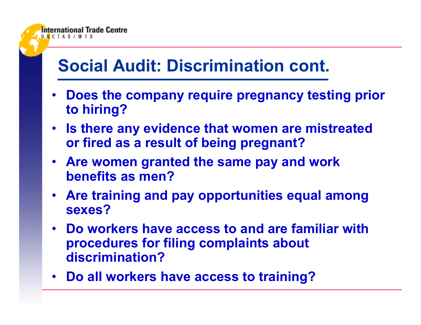#### **Social Audit: Discrimination cont.**

- **Does the company require pregnancy testing prior to hiring?**
- **Is there any evidence that women are mistreated or fired as a result of being pregnant?**
- **Are women granted the same pay and work benefits as men?**
- **Are training and pay opportunities equal among sexes?**
- **Do workers have access to and are familiar with procedures for filing complaints about discrimination?**
- **Do all workers have access to training?**